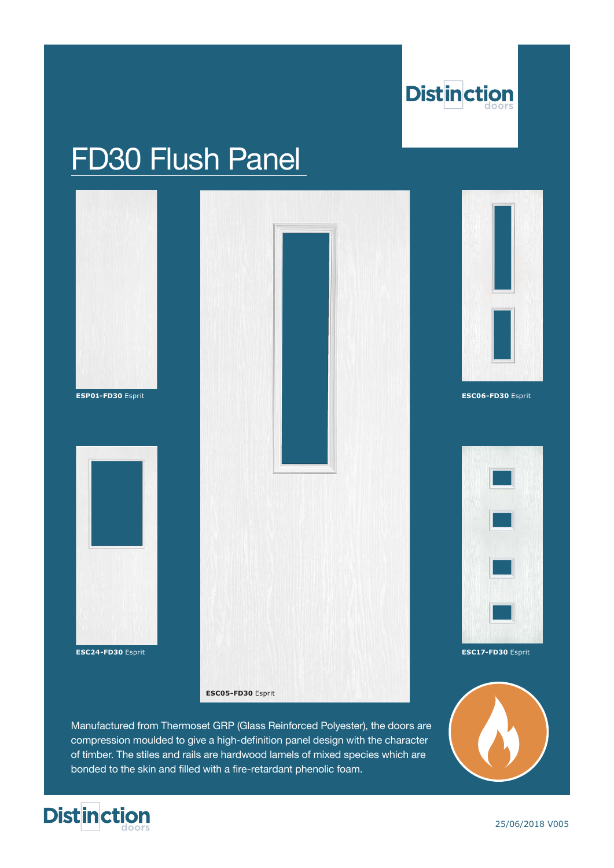

# FD30 Flush Panel



Manufactured from Thermoset GRP (Glass Reinforced Polyester), the doors are compression moulded to give a high-definition panel design with the character of timber. The stiles and rails are hardwood lamels of mixed species which are bonded to the skin and filled with a fire-retardant phenolic foam.